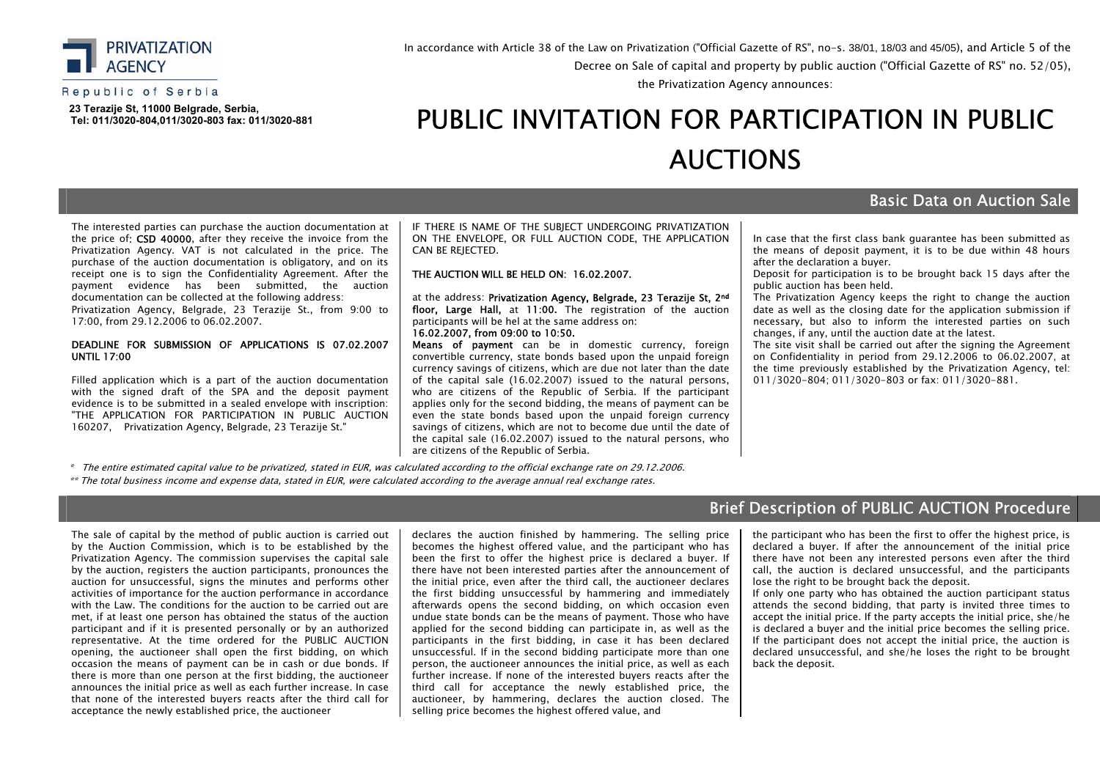

#### Republic of Serbia

 **23 Теrazije St, 11000 Belgrade, Serbia, Tel: 011/3020-804,011/3020-803 fax: 011/3020-881**

### In accordance with Article 38 of the Law on Privatization ("Official Gazette of RS", no-s. 38/01, 18/03 and 45/05), and Article 5 of the Decree оn Sale of capital and property by public auction ("Official Gazette of RS" no. 52/05),

the Privatization Agency announces:

# PUBLIC INVITATION FOR PARTICIPATION IN PUBLIC АUCTIONS

#### The interested parties can purchase the auction documentation at the price of: CSD 40000, after they receive the invoice from the Privatization Agency. VAT is not calculated in the price. The purchase of the auction documentation is obligatory, аnd on its receipt one is to sign the Confidentiality Agreement. After the payment evidence has been submitted, the auction documentation can be collected at the following address:

Privatization Agency, Belgrade, 23 Terazije St., from 9:00 to 17:00, from 29.12.2006 to 06.02.2007.

#### DEADLINE FOR SUBMISSION OF APPLICATIONS IS 07.02.2007 UNTIL 17:00

Filled application which is a part of the auction documentation with the signed draft of the SPA and the deposit payment evidence is to be submitted in a sealed envelope with inscription: "THE APPLICATION FOR PARTICIPATION IN PUBLIC AUCTION 160207, Privatization Agency, Belgrade, 23 Terazije St."

IF THERE IS NAME OF THE SUBIECT UNDERGOING PRIVATIZATION ON THE ENVELOPE, OR FULL AUCTION CODE, THE APPLICATION CAN BE REJECTED.

#### THE AUCTION WILL BE HELD ON: 16.02.2007.

at the address: Privatization Agency, Belgrade, 23 Тerazije St, 2nd floor, Large Hall, at 11:00**.** The registration of the auction participants will be hel at the same address on: 16.02.2007, from 09:00 to 10:50.

Means of payment can be in domestic currency, foreign convertible currency, state bonds based upon the unpaid foreign currency savings of citizens, which are due not later than the date of the capital sale (16.02.2007) issued to the natural persons, who are citizens of the Republic of Serbia. If the participant applies only for the second bidding, the means of payment can be even the state bonds based upon the unpaid foreign currency savings of citizens, which are not to become due until the date of the capital sale (16.02.2007) issued to the natural persons, who are citizens of the Republic of Serbia.

In case that the first class bank guarantee has been submitted as the means of deposit payment, it is to be due within 48 hours after the declaration a buyer.

Basic Data on Auction Sale

Deposit for participation is to be brought back 15 days after the public auction has been held.

The Privatization Agency keeps the right to change the auction date as well as the closing date for the application submission if necessary, but also to inform the interested parties on such changes, if any, until the auction date at the latest.

The site visit shall be carried out after the signing the Agreement on Confidentiality in period from 29.12.2006 to 06.02.2007, at the time previously established by the Privatization Agency, tel: 011/3020-804; 011/3020-803 or fax: 011/3020-881.

\* The entire estimated capital value to be privatized, stated in EUR, was calculated according to the official exchange rate on 29.12.2006.

\*\* The total business income and expense data, stated in ЕUR, were calculated according to the average annual real exchange rates.

## Brief Description of PUBLIC AUCTION Procedure

The sale of capital by the method of public auction is carried out by the Auction Commission, which is to be established by the Privatization Agency. The commission supervises the capital sale by the auction, registers the auction participants, pronounces the auction for unsuccessful, signs the minutes and performs other activities of importance for the auction performance in accordance with the Law. The conditions for the auction to be carried out are met, if at least one person has obtained the status of the auction participant and if it is presented personally or by an authorized representative. At the time ordered for the PUBLIC AUCTION opening, the auctioneer shall open the first bidding, on which occasion the means of payment can be in cash or due bonds. If there is more than one person at the first bidding, the auctioneer announces the initial price as well as each further increase. In case that none of the interested buyers reacts after the third call for acceptance the newly established price, the auctioneer

declares the auction finished by hammering. The selling price becomes the highest offered value, and the participant who has been the first to offer the highest price is declared a buyer. If there have not been interested parties after the announcement of the initial price, even after the third call, the auctioneer declares the first bidding unsuccessful by hammering and immediately afterwards opens the second bidding, on which occasion even undue state bonds can be the means of payment. Those who have applied for the second bidding can participate in, as well as the participants in the first bidding, in case it has been declared unsuccessful. If in the second bidding participate more than one person, the auctioneer announces the initial price, as well as each further increase. If none of the interested buyers reacts after the third call for acceptance the newly established price, the auctioneer, by hammering, declares the auction closed. The selling price becomes the highest offered value, and

the participant who has been the first to offer the highest price, is declared a buyer. If after the announcement of the initial price there have not been any interested persons even after the third call, the auction is declared unsuccessful, and the participants lose the right to be brought back the deposit.

If only one party who has obtained the auction participant status attends the second bidding, that party is invited three times to accept the initial price. If the party accepts the initial price, she/he is declared a buyer and the initial price becomes the selling price. If the participant does not accept the initial price, the auction is declared unsuccessful, and she/he loses the right to be brought back the deposit.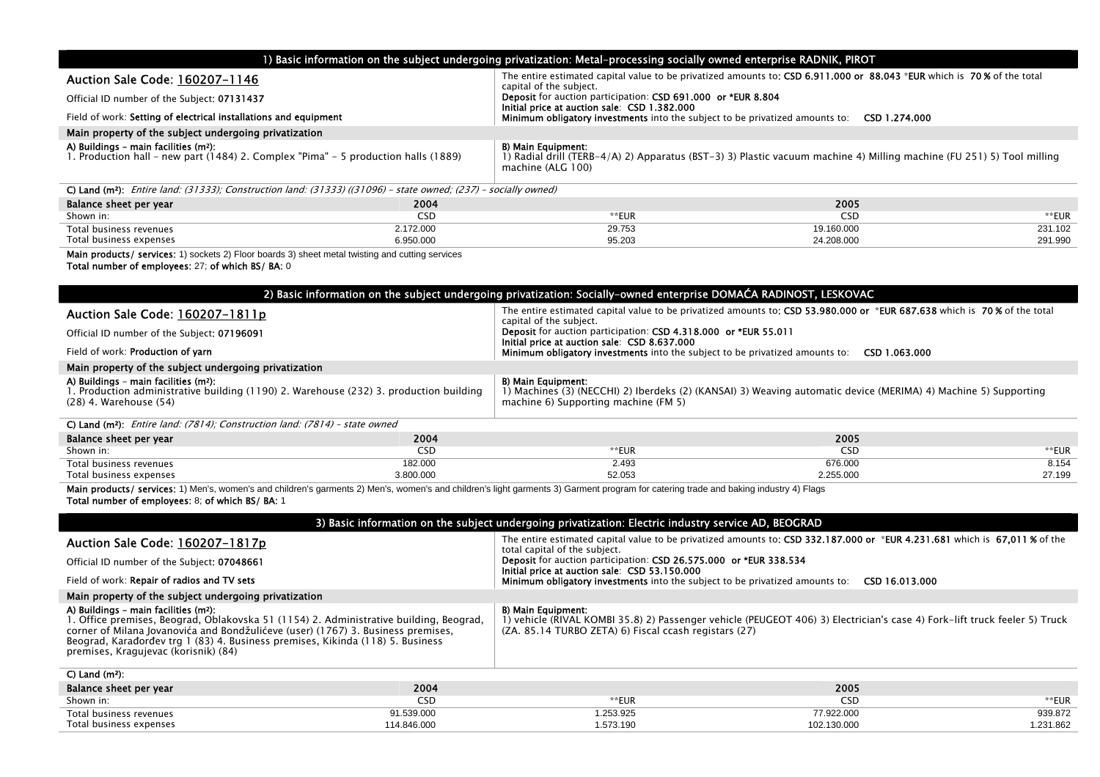| 1) Basic information on the subject undergoing privatization: Metal–processing socially owned enterprise RADNIK, PIROT                  |                                                                                                                                                                 |  |  |  |
|-----------------------------------------------------------------------------------------------------------------------------------------|-----------------------------------------------------------------------------------------------------------------------------------------------------------------|--|--|--|
| Auction Sale Code: 160207-1146                                                                                                          | The entire estimated capital value to be privatized amounts to: CSD 6.911.000 or 88.043 *EUR which is 70% of the total<br>capital of the subject.               |  |  |  |
| Official ID number of the Subject: 07131437                                                                                             | Deposit for auction participation: CSD 691.000 or *EUR 8.804<br>Initial price at auction sale: CSD 1.382.000                                                    |  |  |  |
| Field of work: Setting of electrical installations and equipment                                                                        | Minimum obligatory investments into the subject to be privatized amounts to:<br>CSD 1.274.000                                                                   |  |  |  |
| Main property of the subject undergoing privatization                                                                                   |                                                                                                                                                                 |  |  |  |
| A) Buildings - main facilities (m <sup>2</sup> ):<br>1. Production hall - new part (1484) 2. Complex "Pima" - 5 production halls (1889) | B) Main Equipment:<br>) Radial drill (TERB-4/A) 2) Apparatus (BST-3) 3) Plastic vacuum machine 4) Milling machine (FU 251) 5) Tool milling<br>machine (ALG 100) |  |  |  |

| <b>C) Land (m<sup>2</sup>):</b> <i>Entire land: (31333); Construction land: (31333) ((31096) – state owned; (237) – socially owned)</i> |           |        |            |         |  |
|-----------------------------------------------------------------------------------------------------------------------------------------|-----------|--------|------------|---------|--|
| Balance sheet per year                                                                                                                  | 2004      |        | 2005       |         |  |
| Shown in:                                                                                                                               | CSD       | **EUR  | CSD        | **EUR   |  |
| Total business revenues                                                                                                                 | 2.172.000 | 29.753 | 19.160.000 | 231.102 |  |
| Total business expenses                                                                                                                 | 6.950.000 | 95.203 | 24.208.000 | 291.990 |  |

Main products/ services: 1) sockets 2) Floor boards 3) sheet metal twisting and cutting services

Total number of employees: 27; of which ВS/ BA: 0

| 2) Basic information on the subject undergoing privatization: Socially-owned enterprise DOMAĆA RADINOST, LESKOVAC                                                     |            |                                                                                                                                                                               |               |        |  |
|-----------------------------------------------------------------------------------------------------------------------------------------------------------------------|------------|-------------------------------------------------------------------------------------------------------------------------------------------------------------------------------|---------------|--------|--|
| Auction Sale Code: 160207-1811p                                                                                                                                       |            | The entire estimated capital value to be privatized amounts to: CSD 53.980.000 or *EUR 687.638 which is 70% of the total<br>capital of the subject.                           |               |        |  |
| Official ID number of the Subject: 07196091                                                                                                                           |            | <b>Deposit</b> for auction participation: CSD 4.318.000 or *EUR 55.011<br>Initial price at auction sale: CSD 8.637.000                                                        |               |        |  |
| Field of work: <b>Production of varn</b>                                                                                                                              |            | <b>Minimum obligatory investments</b> into the subject to be privatized amounts to:                                                                                           | CSD 1.063.000 |        |  |
| Main property of the subject undergoing privatization                                                                                                                 |            |                                                                                                                                                                               |               |        |  |
| A) Buildings - main facilities (m <sup>2</sup> ):<br>1. Production administrative building (1190) 2. Warehouse (232) 3. production building<br>(28) 4. Warehouse (54) |            | B) Main Equipment:<br>I) Machines (3) (NECCHI) 2) Iberdeks (2) (KANSAI) 3) Weaving automatic device (MERIMA) 4) Machine 5) Supporting<br>machine 6) Supporting machine (FM 5) |               |        |  |
| C) Land (m <sup>2</sup> ): <i>Entire land: (7814); Construction land: (7814) - state owned</i>                                                                        |            |                                                                                                                                                                               |               |        |  |
| Balance sheet per year                                                                                                                                                | 2004       |                                                                                                                                                                               | 2005          |        |  |
| Shown in:                                                                                                                                                             | <b>CSD</b> | **EUR                                                                                                                                                                         | <b>CSD</b>    | **EUR  |  |
| Total business revenues                                                                                                                                               | 182.000    | 2.493                                                                                                                                                                         | 676.000       | 8.154  |  |
| Total business expenses                                                                                                                                               | 3.800.000  | 52.053                                                                                                                                                                        | 2.255.000     | 27.199 |  |

Total business expenses 3.800.000 52.053 Main products/ services: 1) Men's, women's and children's garments 2) Men's, women's and children's light garments 3) Garment program for catering trade and baking industry 4) Flags Total number of employees: 8; of which ВS/ BA: 1

| 3) Basic information on the subject undergoing privatization: Electric industry service AD, BEOGRAD                                                                                                                                                                                                                                                       |                                                                                                                                                                                                                |  |  |  |
|-----------------------------------------------------------------------------------------------------------------------------------------------------------------------------------------------------------------------------------------------------------------------------------------------------------------------------------------------------------|----------------------------------------------------------------------------------------------------------------------------------------------------------------------------------------------------------------|--|--|--|
| Auction Sale Code: 160207-1817p                                                                                                                                                                                                                                                                                                                           | The entire estimated capital value to be privatized amounts to: CSD 332.187.000 or *EUR 4.231.681 which is 67,011 % of the<br>total capital of the subject.                                                    |  |  |  |
| Official ID number of the Subject: 07048661                                                                                                                                                                                                                                                                                                               | <b>Deposit</b> for auction participation: CSD 26.575.000 or *EUR 338.534<br>Initial price at auction sale: CSD 53.150.000                                                                                      |  |  |  |
| Field of work: <b>Repair of radios and TV sets</b>                                                                                                                                                                                                                                                                                                        | <b>Minimum obligatory investments</b> into the subject to be privatized amounts to:<br>CSD 16.013.000                                                                                                          |  |  |  |
| Main property of the subject undergoing privatization                                                                                                                                                                                                                                                                                                     |                                                                                                                                                                                                                |  |  |  |
| A) Buildings - main facilities (m <sup>2</sup> ):<br>1. Office premises, Beograd, Oblakovska 51 (1154) 2. Administrative building, Beograd,<br>corner of Milana Jovanovića and Bondžulićeve (user) (1767) 3. Business premises,<br>Beograd, Karađorđev trg 1 (83) 4. Business premises, Kikinda (118) 5. Business<br>premises, Kragujevac (korisnik) (84) | <b>B) Main Equipment:</b><br>) vehicle (RIVAL KOMBI 35.8) 2) Passenger vehicle (PEUGEOT 406) 3) Electrician's case 4) Fork–lift truck feeler 5) Truck<br>(ZA. 85.14 TURBO ZETA) 6) Fiscal ccash registars (27) |  |  |  |
| $C)$ Land $(m2)$ :                                                                                                                                                                                                                                                                                                                                        |                                                                                                                                                                                                                |  |  |  |
| 2004<br>Balance sheet per year                                                                                                                                                                                                                                                                                                                            | 2005                                                                                                                                                                                                           |  |  |  |

| Balance sheet per year  | 2004       |          | 2005        |          |
|-------------------------|------------|----------|-------------|----------|
| Shown in:               |            | :UK      | ں دے        | EUR      |
| Total business revenues | 1.539.000  | .253.925 | 7.922.000   | 939.872  |
| Total business expenses | 14.846.000 | .573.190 | 102.130.000 | .231.862 |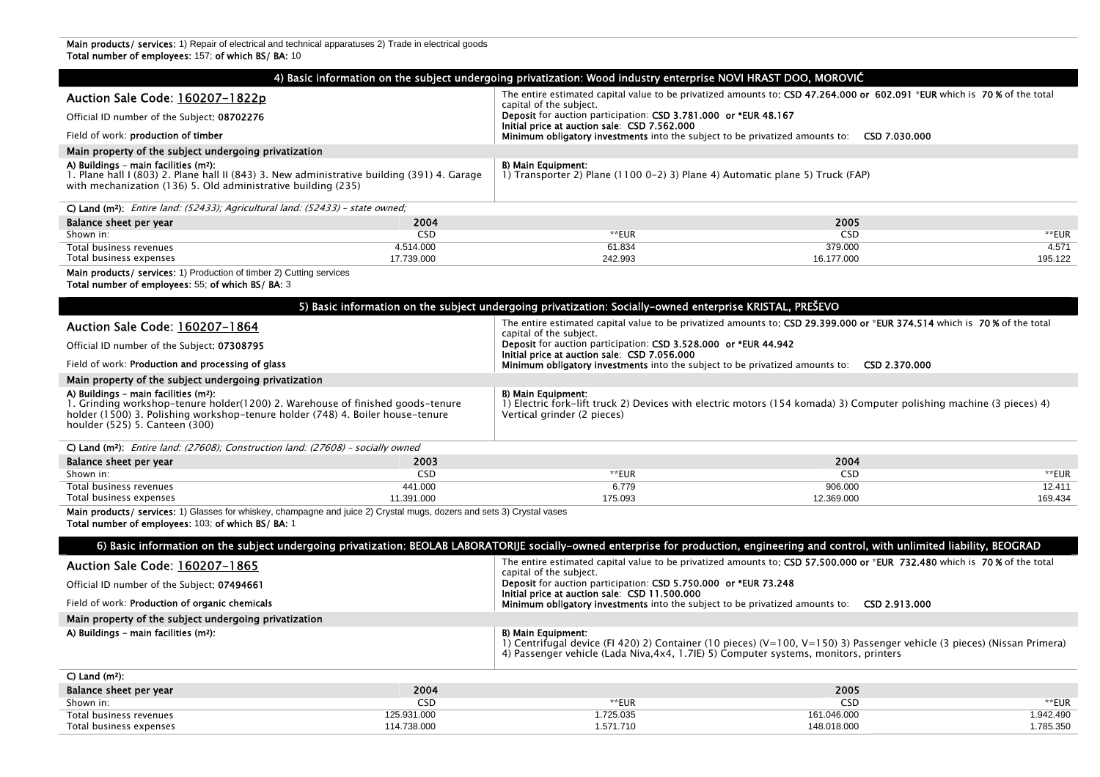**Main products/ services:** 1) Repair of electrical and technical apparatuses 2) Trade in electrical goods Total number of employees: 157; of which ВS/ BA: 10

|                                                                                                                                                                                                                                                         |             | 4) Basic information on the subject undergoing privatization: Wood industry enterprise NOVI HRAST DOO, MOROVIĆ                                                                                                                               |                                                                                                                          |           |
|---------------------------------------------------------------------------------------------------------------------------------------------------------------------------------------------------------------------------------------------------------|-------------|----------------------------------------------------------------------------------------------------------------------------------------------------------------------------------------------------------------------------------------------|--------------------------------------------------------------------------------------------------------------------------|-----------|
| Auction Sale Code: 160207-1822p                                                                                                                                                                                                                         |             | The entire estimated capital value to be privatized amounts to: CSD 47.264.000 or 602.091 *EUR which is 70% of the total<br>capital of the subject.                                                                                          |                                                                                                                          |           |
| Official ID number of the Subject: 08702276                                                                                                                                                                                                             |             | Deposit for auction participation: CSD 3.781.000 or *EUR 48.167<br>Initial price at auction sale: CSD 7.562.000                                                                                                                              |                                                                                                                          |           |
| Field of work: production of timber                                                                                                                                                                                                                     |             | <b>Minimum obligatory investments</b> into the subject to be privatized amounts to: <b>CSD 7.030.000</b>                                                                                                                                     |                                                                                                                          |           |
| Main property of the subject undergoing privatization                                                                                                                                                                                                   |             |                                                                                                                                                                                                                                              |                                                                                                                          |           |
| A) Buildings - main facilities (m <sup>2</sup> ):<br>1. Plane hall I (803) 2. Plane hall II (843) 3. New administrative building (391) 4. Garage<br>with mechanization (136) 5. Old administrative building (235)                                       |             | B) Main Equipment:<br>1) Transporter 2) Plane $(11000-2)$ 3) Plane 4) Automatic plane 5) Truck (FAP)                                                                                                                                         |                                                                                                                          |           |
| C) Land (m <sup>2</sup> ): Entire land: (52433); Agricultural land: (52433) - state owned;                                                                                                                                                              |             |                                                                                                                                                                                                                                              |                                                                                                                          |           |
| Balance sheet per year                                                                                                                                                                                                                                  | 2004        |                                                                                                                                                                                                                                              | 2005                                                                                                                     |           |
| Shown in:                                                                                                                                                                                                                                               | <b>CSD</b>  | **EUR                                                                                                                                                                                                                                        | <b>CSD</b>                                                                                                               | **EUR     |
| Total business revenues                                                                                                                                                                                                                                 | 4.514.000   | 61.834                                                                                                                                                                                                                                       | 379.000                                                                                                                  | 4.571     |
| Total business expenses                                                                                                                                                                                                                                 | 17.739.000  | 242.993                                                                                                                                                                                                                                      | 16.177.000                                                                                                               | 195.122   |
| Main products/ services: 1) Production of timber 2) Cutting services<br>Total number of employees: 55; of which BS/ BA: 3                                                                                                                               |             |                                                                                                                                                                                                                                              |                                                                                                                          |           |
|                                                                                                                                                                                                                                                         |             | 5) Basic information on the subject undergoing privatization: Socially-owned enterprise KRISTAL, PREŠEVO                                                                                                                                     |                                                                                                                          |           |
| <b>Auction Sale Code: 160207-1864</b>                                                                                                                                                                                                                   |             | The entire estimated capital value to be privatized amounts to: CSD 29.399.000 or *EUR 374.514 which is 70% of the total<br>capital of the subject.                                                                                          |                                                                                                                          |           |
| Official ID number of the Subject: 07308795                                                                                                                                                                                                             |             | Deposit for auction participation: CSD 3.528.000 or *EUR 44.942<br>Initial price at auction sale: CSD 7.056.000                                                                                                                              |                                                                                                                          |           |
| Field of work: <b>Production and processing of glass</b>                                                                                                                                                                                                |             | <b>Minimum obligatory investments</b> into the subject to be privatized amounts to: <b>CSD 2.370.000</b>                                                                                                                                     |                                                                                                                          |           |
| Main property of the subject undergoing privatization                                                                                                                                                                                                   |             |                                                                                                                                                                                                                                              |                                                                                                                          |           |
| A) Buildings - main facilities (m <sup>2</sup> ):<br>1. Grinding workshop-tenure holder(1200) 2. Warehouse of finished goods-tenure<br>holder (1500) 3. Polishing workshop-tenure holder (748) 4. Boiler house-tenure<br>houlder (525) 5. Canteen (300) |             | B) Main Equipment:<br>1) Electric fork–lift truck 2) Devices with electric motors (154 komada) 3) Computer polishing machine (3 pieces) 4)<br>Vertical grinder (2 pieces)                                                                    |                                                                                                                          |           |
| C) Land (m <sup>2</sup> ): Entire land: (27608); Construction land: (27608) - socially owned                                                                                                                                                            |             |                                                                                                                                                                                                                                              |                                                                                                                          |           |
| Balance sheet per year                                                                                                                                                                                                                                  | 2003        |                                                                                                                                                                                                                                              | 2004                                                                                                                     |           |
| Shown in:                                                                                                                                                                                                                                               | <b>CSD</b>  | **EUR                                                                                                                                                                                                                                        | <b>CSD</b>                                                                                                               | **EUR     |
| Total business revenues                                                                                                                                                                                                                                 | 441.000     | 6.779                                                                                                                                                                                                                                        | 906.000                                                                                                                  | 12.411    |
| Total business expenses                                                                                                                                                                                                                                 | 11.391.000  | 175.093                                                                                                                                                                                                                                      | 12.369.000                                                                                                               | 169.434   |
| Main products/ services: 1) Glasses for whiskey, champagne and juice 2) Crystal mugs, dozers and sets 3) Crystal vases<br>Total number of employees: 103; of which BS/ BA: 1                                                                            |             |                                                                                                                                                                                                                                              |                                                                                                                          |           |
|                                                                                                                                                                                                                                                         |             | 6) Basic information on the subject undergoing privatization: BEOLAB LABORATORIJE socially-owned enterprise for production, engineering and control, with unlimited liability, BEOGRAD                                                       |                                                                                                                          |           |
| <b>Auction Sale Code: 160207-1865</b>                                                                                                                                                                                                                   |             | capital of the subject.                                                                                                                                                                                                                      | The entire estimated capital value to be privatized amounts to: CSD 57.500.000 or *EUR 732.480 which is 70% of the total |           |
| Official ID number of the Subject: 07494661                                                                                                                                                                                                             |             | Deposit for auction participation: CSD 5.750.000 or *EUR 73.248<br>Initial price at auction sale: CSD 11.500.000                                                                                                                             |                                                                                                                          |           |
| Field of work: Production of organic chemicals                                                                                                                                                                                                          |             | <b>Minimum obligatory investments</b> into the subject to be privatized amounts to: <b>CSD 2.913.000</b>                                                                                                                                     |                                                                                                                          |           |
| Main property of the subject undergoing privatization                                                                                                                                                                                                   |             |                                                                                                                                                                                                                                              |                                                                                                                          |           |
| A) Buildings - main facilities (m <sup>2</sup> ):                                                                                                                                                                                                       |             | <b>B) Main Equipment:</b><br>1) Centrifugal device (FI 420) 2) Container (10 pieces) (V=100, V=150) 3) Passenger vehicle (3 pieces) (Nissan Primera)<br>4) Passenger vehicle (Lada Niva, 4x4, 1.7IE) 5) Computer systems, monitors, printers |                                                                                                                          |           |
| $C$ ) Land (m <sup>2</sup> ):                                                                                                                                                                                                                           |             |                                                                                                                                                                                                                                              |                                                                                                                          |           |
| Balance sheet per year                                                                                                                                                                                                                                  | 2004        |                                                                                                                                                                                                                                              | 2005                                                                                                                     |           |
| Shown in:                                                                                                                                                                                                                                               | <b>CSD</b>  | **EUR                                                                                                                                                                                                                                        | <b>CSD</b>                                                                                                               | **EUR     |
| Total business revenues                                                                                                                                                                                                                                 | 125.931.000 | 1.725.035                                                                                                                                                                                                                                    | 161.046.000                                                                                                              | 1.942.490 |
| Total business expenses                                                                                                                                                                                                                                 | 114.738.000 | 1.571.710                                                                                                                                                                                                                                    | 148.018.000                                                                                                              | 1.785.350 |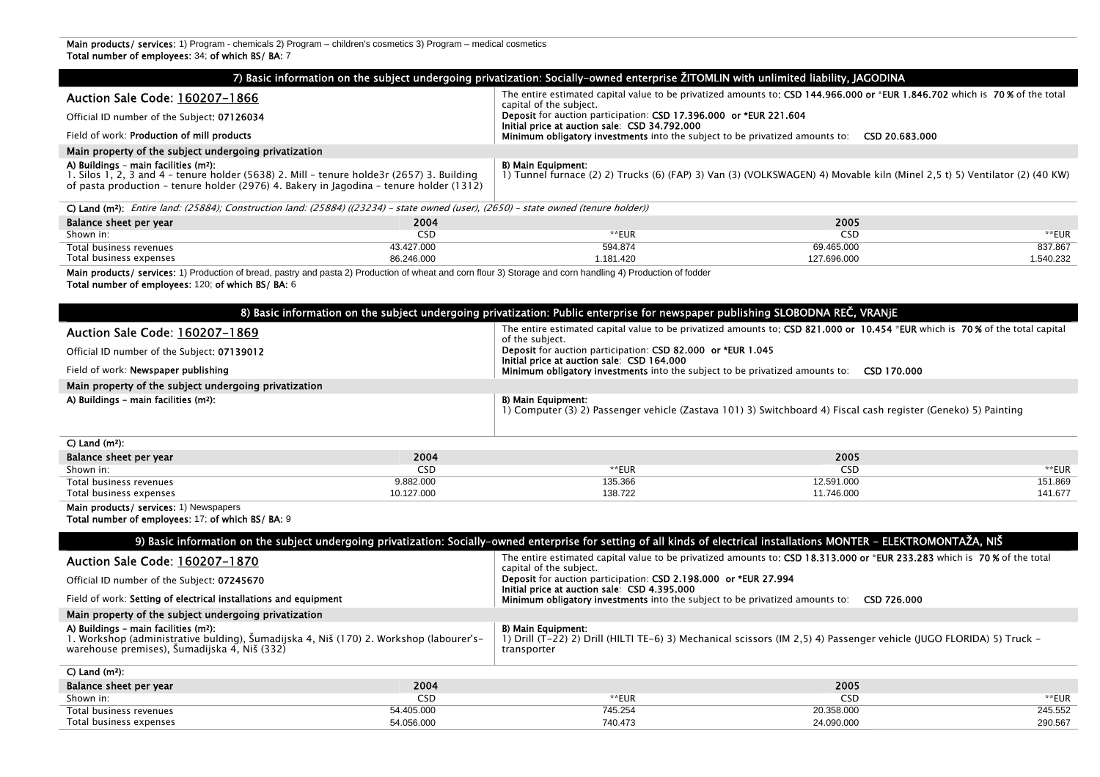|                                                                                                                                                                                                                                           |                          | 7) Basic information on the subject undergoing privatization: Socially-owned enterprise ŽITOMLIN with unlimited liability, JAGODINA                                       |                                                                                                                              |                      |
|-------------------------------------------------------------------------------------------------------------------------------------------------------------------------------------------------------------------------------------------|--------------------------|---------------------------------------------------------------------------------------------------------------------------------------------------------------------------|------------------------------------------------------------------------------------------------------------------------------|----------------------|
| Auction Sale Code: 160207-1866                                                                                                                                                                                                            |                          |                                                                                                                                                                           | The entire estimated capital value to be privatized amounts to: CSD 144.966.000 or *EUR 1.846.702 which is 70% of the total  |                      |
| Official ID number of the Subject: 07126034                                                                                                                                                                                               |                          | capital of the subject.<br>Deposit for auction participation: CSD 17.396.000 or *EUR 221.604                                                                              |                                                                                                                              |                      |
| Field of work: Production of mill products                                                                                                                                                                                                |                          | Initial price at auction sale: CSD 34.792.000<br><b>Minimum obligatory investments</b> into the subject to be privatized amounts to: <b>CSD 20.683.000</b>                |                                                                                                                              |                      |
| Main property of the subject undergoing privatization                                                                                                                                                                                     |                          |                                                                                                                                                                           |                                                                                                                              |                      |
| A) Buildings - main facilities (m <sup>2</sup> ):<br>1. Silos 1, 2, 3 and 4 - tenure holder (5638) 2. Mill - tenure holde3r (2657) 3. Building<br>of pasta production – tenure holder (2976) 4. Bakery in Jagodina – tenure holder (1312) |                          | <b>B) Main Equipment:</b>                                                                                                                                                 | 1) Tunnel furnace (2) 2) Trucks (6) (FAP) 3) Van (3) (VOLKSWAGEN) 4) Movable kiln (Minel 2,5 t) 5) Ventilator (2) (40 KW)    |                      |
| C) Land (m <sup>2</sup> ): Entire land: (25884); Construction land: (25884) ((23234) - state owned (user), (2650) - state owned (tenure holder))                                                                                          |                          |                                                                                                                                                                           |                                                                                                                              |                      |
| Balance sheet per year                                                                                                                                                                                                                    | 2004                     |                                                                                                                                                                           | 2005                                                                                                                         |                      |
| Shown in:                                                                                                                                                                                                                                 | <b>CSD</b>               | **EUR                                                                                                                                                                     | <b>CSD</b>                                                                                                                   | **EUR                |
| Total business revenues<br>Total business expenses                                                                                                                                                                                        | 43.427.000<br>86.246.000 | 594.874<br>1.181.420                                                                                                                                                      | 69.465.000<br>127.696.000                                                                                                    | 837.867<br>1.540.232 |
| Main products/ services: 1) Production of bread, pastry and pasta 2) Production of wheat and corn flour 3) Storage and corn handling 4) Production of fodder<br>Total number of employees: 120; of which BS/ BA: 6                        |                          |                                                                                                                                                                           |                                                                                                                              |                      |
|                                                                                                                                                                                                                                           |                          | 8) Basic information on the subject undergoing privatization: Public enterprise for newspaper publishing SLOBODNA REČ, VRANJE                                             |                                                                                                                              |                      |
| Auction Sale Code: 160207-1869                                                                                                                                                                                                            |                          | of the subject.                                                                                                                                                           | The entire estimated capital value to be privatized amounts to: CSD 821.000 or 10.454 *EUR which is 70% of the total capital |                      |
| Official ID number of the Subject: 07139012                                                                                                                                                                                               |                          | <b>Deposit</b> for auction participation: CSD 82.000 or *EUR 1.045<br>Initial price at auction sale: CSD 164.000                                                          |                                                                                                                              |                      |
| Field of work: Newspaper publishing                                                                                                                                                                                                       |                          | <b>Minimum obligatory investments</b> into the subject to be privatized amounts to: <b>CSD 170.000</b>                                                                    |                                                                                                                              |                      |
| Main property of the subject undergoing privatization                                                                                                                                                                                     |                          |                                                                                                                                                                           |                                                                                                                              |                      |
| A) Buildings - main facilities (m <sup>2</sup> ):                                                                                                                                                                                         |                          | B) Main Equipment:                                                                                                                                                        | 1) Computer (3) 2) Passenger vehicle (Zastava 101) 3) Switchboard 4) Fiscal cash register (Geneko) 5) Painting               |                      |
| $C)$ Land (m <sup>2</sup> ):                                                                                                                                                                                                              |                          |                                                                                                                                                                           |                                                                                                                              |                      |
| Balance sheet per year                                                                                                                                                                                                                    | 2004                     |                                                                                                                                                                           | 2005                                                                                                                         |                      |
| Shown in:                                                                                                                                                                                                                                 | <b>CSD</b>               | **EUR                                                                                                                                                                     | <b>CSD</b>                                                                                                                   | $*$ EUR              |
| Total business revenues<br>Total business expenses                                                                                                                                                                                        | 9.882.000<br>10.127.000  | 135.366<br>138.722                                                                                                                                                        | 12.591.000<br>11.746.000                                                                                                     | 151.869<br>141.677   |
| Main products/ services: 1) Newspapers<br>Total number of employees: 17; of which BS/ BA: 9                                                                                                                                               |                          |                                                                                                                                                                           |                                                                                                                              |                      |
|                                                                                                                                                                                                                                           |                          | 9) Basic information on the subject undergoing privatization: Socially-owned enterprise for setting of all kinds of electrical installations MONTER - ELEKTROMONTAŽA, NIŠ |                                                                                                                              |                      |
| Auction Sale Code: 160207-1870                                                                                                                                                                                                            |                          | capital of the subject.                                                                                                                                                   | The entire estimated capital value to be privatized amounts to: CSD 18.313.000 or *EUR 233.283 which is 70% of the total     |                      |
| Official ID number of the Subject: 07245670                                                                                                                                                                                               |                          | Deposit for auction participation: CSD 2.198.000 or *EUR 27.994                                                                                                           |                                                                                                                              |                      |
| Field of work: Setting of electrical installations and equipment                                                                                                                                                                          |                          | Initial price at auction sale: CSD 4.395.000<br><b>Minimum obligatory investments</b> into the subject to be privatized amounts to: <b>CSD 726.000</b>                    |                                                                                                                              |                      |
| Main property of the subject undergoing privatization                                                                                                                                                                                     |                          |                                                                                                                                                                           |                                                                                                                              |                      |
| A) Buildings - main facilities (m <sup>2</sup> ):<br>1. Workshop (administrative bulding), Šumadijska 4, Niš (170) 2. Workshop (labourer's-<br>warehouse premises), Šumadijska 4, Niš (332)                                               |                          | B) Main Equipment:<br>transporter                                                                                                                                         | 1) Drill (T-22) 2) Drill (HILTI TE-6) 3) Mechanical scissors (IM 2,5) 4) Passenger vehicle (JUGO FLORIDA) 5) Truck -         |                      |
| $C$ ) Land (m <sup>2</sup> ):<br>Balance sheet per year                                                                                                                                                                                   | 2004                     |                                                                                                                                                                           | 2005                                                                                                                         |                      |
|                                                                                                                                                                                                                                           |                          |                                                                                                                                                                           |                                                                                                                              |                      |

| Balance sheet per year  | 2004       |         | 2005       |                 |
|-------------------------|------------|---------|------------|-----------------|
| Shown in:               | <b>CSD</b> | **EUI   | - SL.<br>ິ | *EUR            |
| Total business revenues | J5.UUU     | 745.25  | 0.358.000  | 1000<br>245.552 |
| Total business expenses | 056.00     | 740.473 | 24.090.000 | 290.56          |